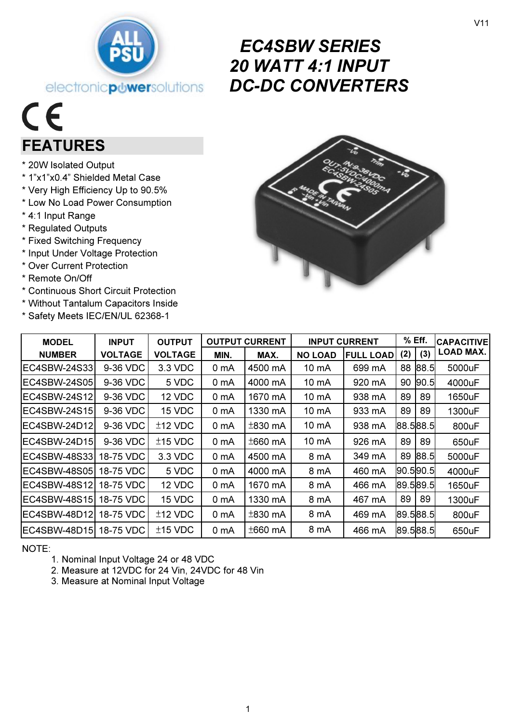

# EC4SBW SERIES 20 WATT 4:1 INPUT DC-DC CONVERTERS

# $C\epsilon$ FEATURES

- \* 20W Isolated Output
- \* 1"x1"x0.4" Shielded Metal Case
- \* Very High Efficiency Up to 90.5%
- \* Low No Load Power Consumption
- \* 4:1 Input Range
- \* Regulated Outputs
- \* Fixed Switching Frequency
- \* Input Under Voltage Protection
- \* Over Current Protection
- \* Remote On/Off
- \* Continuous Short Circuit Protection
- \* Without Tantalum Capacitors Inside
- \* Safety Meets IEC/EN/UL 62368-1



| <b>MODEL</b>           | <b>INPUT</b>   | <b>OUTPUT</b>  |                  | <b>OUTPUT CURRENT</b> | <b>INPUT CURRENT</b> |                  | $%$ Eff. |             | <b>CAPACITIVE</b> |
|------------------------|----------------|----------------|------------------|-----------------------|----------------------|------------------|----------|-------------|-------------------|
| <b>NUMBER</b>          | <b>VOLTAGE</b> | <b>VOLTAGE</b> | MIN.             | MAX.                  | <b>NO LOAD</b>       | <b>FULL LOAD</b> | (2)      | (3)         | LOAD MAX.         |
| EC4SBW-24S33           | 9-36 VDC       | 3.3 VDC        | 0 mA             | 4500 mA               | 10 mA                | 699 mA           | 88       | 88.5        | 5000uF            |
| EC4SBW-24S05           | 9-36 VDC       | 5 VDC          | 0 mA             | 4000 mA               | $10 \text{ mA}$      | 920 mA           | 90       | 90.5        | 4000uF            |
| EC4SBW-24S12I          | 9-36 VDC       | 12 VDC         | 0 <sub>m</sub> A | 1670 mA               | 10 mA                | 938 mA           | 89       | 89          | 1650uF            |
| EC4SBW-24S15           | 9-36 VDC       | 15 VDC         | 0 <sub>m</sub> A | 1330 mA               | 10 mA                | 933 mA           | 89       | 89          | 1300uF            |
| EC4SBW-24D12           | 9-36 VDC       | $±12$ VDC      | 0 mA             | $\pm$ 830 mA          | 10 mA                | 938 mA           |          | 88.588.5    | 800uF             |
| EC4SBW-24D15           | 9-36 VDC       | $±15$ VDC      | 0 mA             | $±660$ mA             | 10 mA                | 926 mA           | 89       | 89          | 650uF             |
| EC4SBW-48S331          | 18-75 VDC      | 3.3 VDC        | 0 <sub>m</sub> A | 4500 mA               | 8 mA                 | 349 mA           | 89       | 88.5        | 5000uF            |
| EC4SBW-48S05           | 18-75 VDC      | 5 VDC          | 0 <sub>m</sub> A | 4000 mA               | 8 mA                 | 460 mA           |          | 190.5190.51 | 4000uF            |
| EC4SBW-48S12           | 18-75 VDC      | 12 VDC         | 0 mA             | 1670 mA               | 8 mA                 | 466 mA           |          | 89.589.5    | 1650uF            |
| EC4SBW-48S15           | 18-75 VDC      | 15 VDC         | 0 mA             | 1330 mA               | 8 mA                 | 467 mA           | 89       | 89          | 1300uF            |
| EC4SBW-48D12I          | 18-75 VDC      | $±12$ VDC      | 0 mA             | $±830$ mA             | 8 mA                 | 469 mA           |          | 89.588.5    | 800uF             |
| EC4SBW-48D15 18-75 VDC |                | $±15$ VDC      | 0 <sub>m</sub> A | $±660$ mA             | 8 mA                 | 466 mA           |          | 89.588.5    | 650uF             |

NOTE:

- 1. Nominal Input Voltage 24 or 48 VDC
- 2. Measure at 12VDC for 24 Vin, 24VDC for 48 Vin
- 3. Measure at Nominal Input Voltage